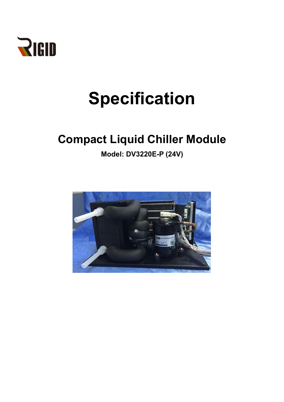

# **Specification**

# **Compact Liquid Chiller Module**

**Model: DV3220E-P (24V)**

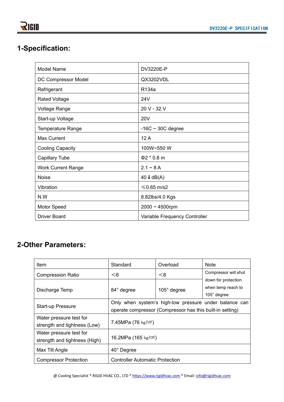## **1-Specification:**

| <b>Model Name</b>         | DV3220E-P                     |  |
|---------------------------|-------------------------------|--|
| DC Compressor Model       | QX3202VDL                     |  |
| Refrigerant               | R134a                         |  |
| <b>Rated Voltage</b>      | 24 <sub>V</sub>               |  |
| Voltage Range             | 20 V - 32 V                   |  |
| Start-up Voltage          | <b>20V</b>                    |  |
| <b>Temperature Range</b>  | $-16C \sim 30C$ degree        |  |
| Max Current               | 12A                           |  |
| <b>Cooling Capacity</b>   | 100W~550 W                    |  |
| <b>Capillary Tube</b>     | $\Phi$ 2 * 0.8 m              |  |
| <b>Work Current Range</b> | $2.1 - 8A$                    |  |
| <b>Noise</b>              | $40 \downarrow$ dB(A)         |  |
| Vibration                 | $≤$ 0.65 m/s2                 |  |
| N.W                       | 8.82lbs/4.0 Kgs               |  |
| Motor Speed               | $2000 \sim 4500$ rpm          |  |
| <b>Driver Board</b>       | Variable Frequency Controller |  |

### **2-Other Parameters:**

| Item                                                     | Standard                                                                                                            | Overload           | <b>Note</b>                                                                             |  |
|----------------------------------------------------------|---------------------------------------------------------------------------------------------------------------------|--------------------|-----------------------------------------------------------------------------------------|--|
| <b>Compression Ratio</b>                                 | < 6                                                                                                                 | < 8                | Compressor will shut<br>down for protection<br>when temp reach to<br>$105^\circ$ degree |  |
| Discharge Temp                                           | 84° degree                                                                                                          | $105^\circ$ degree |                                                                                         |  |
| <b>Start-up Pressure</b>                                 | Only when system's high-low pressure under balance can<br>operate compressor (Compressor has this built-in setting) |                    |                                                                                         |  |
| Water pressure test for<br>strength and tightness (Low)  | 7.45MPa $(76 \text{ kg/cm}^2)$                                                                                      |                    |                                                                                         |  |
| Water pressure test for<br>strength and tightness (High) | 16.2MPa (165 kg/cm <sup>2</sup> )                                                                                   |                    |                                                                                         |  |
| Max Tilt Angle                                           | 40° Degree                                                                                                          |                    |                                                                                         |  |
| <b>Compressor Protection</b>                             | <b>Controller Automatic Protection</b>                                                                              |                    |                                                                                         |  |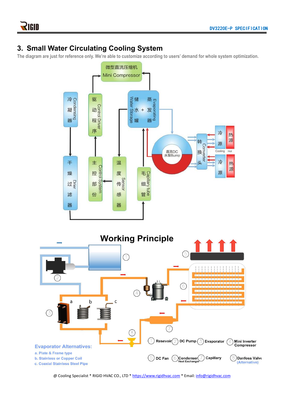#### **3. Small Water Circulating Cooling System**

The diagram are just for reference only. We're able to customize according to users' demand for whole system optimization.



@ Cooling Specialist \* RIGID HVAC CO., LTD \* <https://www.rigidhvac.com> \* Email: [info@rigidhvac.com](mailto:info@rigidhvac.com)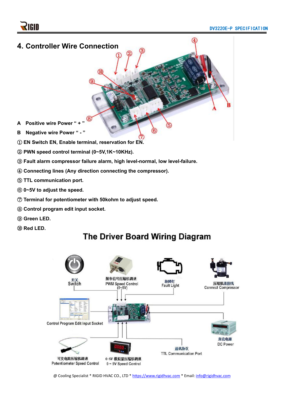

- ② **PWN speed control terminal (0~5V,1K~10KHz).**
- ③ **Fault alarm compressor failure alarm, high level-normal, low level-failure.**
- ④ **Connecting lines (Any direction connecting the compressor).**
- ⑤ **TTL communication port.**
- ⑥ **0~5V to adjust the speed.**
- ⑦ **Terminal for potentiometer with 50kohm to adjust speed.**
- ⑧ **Control program edit input socket.**
- ⑨ **Green LED.**
- ⑩ **Red LED.**

# **The Driver Board Wiring Diagram**

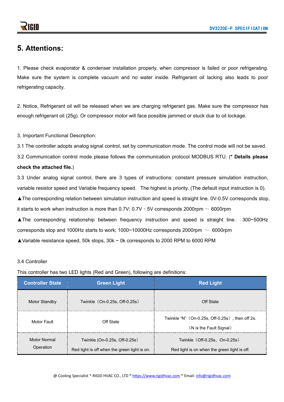#### **5. Attentions:**

1. Please check evaporator & condenser installation properly, when compressor is failed or poor refrigerating. Make sure the system is complete vacuum and no water inside. Refrigerant oil lacking also leads to poor refrigerating capacity.

2. Notice, Refrigerant oil will be released when we are charging refrigerant gas. Make sure the compressor has enough refrigerant oil (25g). Or compressor motor will face possible jammed or stuck due to oil lockage.<br>3. Important Functional Description:

3.1 The controller adopts analog signal control, set by communication mode. The control mode will not be saved.

3.2 Communication control mode please follows the communication protocol MODBUS RTU. (**\* Details please**

#### **check the attached file.**)

3.3 Under analog signal control, there are 3 types of instructions: constant pressure simulation instruction, variable resistor speed and Variable frequency speed. The highest is priority. (The default input instruction is 0).

▲The corresponding relation between simulation instruction and speed is straight line. 0V-0.5V corresponds stop,

it starts to work when instruction is more than  $0.7V$ ;  $0.7V - 5V$  corresponds 2000rpm  $\sim 6000$ rpm

▲The corresponding relationship between frequency instruction and speed is straight line. 300~500Hz corresponds stop and 1000Hz starts to work; 1000~10000Hz corresponds 2000rpm  $\sim 6000$ rpm

▲Variable resistance speed, 50k stops, 30k ~ 0k corresponds to 2000 RPM to 6000 RPM

#### 3.4 Controller

This controller has two LED lights (Red and Green), following are definitions:

| <b>Controller State</b>          | <b>Green Light</b>                                                            | <b>Red Light</b>                                                              |
|----------------------------------|-------------------------------------------------------------------------------|-------------------------------------------------------------------------------|
| <b>Motor Standby</b>             | Twinkle (On-0.25s, Off-0.25s)                                                 | Off State                                                                     |
| Motor Fault                      | Off State                                                                     | Twinkle "N" (On-0.25s, Off-0.25s), then off 2s.<br>(N is the Fault Signal)    |
| <b>Motor Normal</b><br>Operation | Twinkle (On-0.25s, Off-0.25s)<br>Red light is off when the green light is on. | Twinkle (Off-0.25s, On-0.25s)<br>Red light is on when the green light is off. |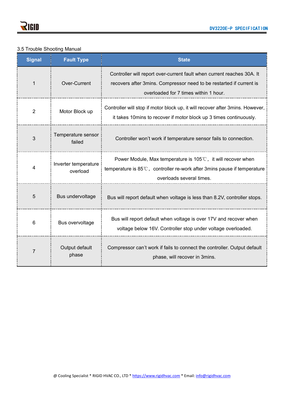#### 3.5 Trouble Shooting Manual

| <b>Signal</b>  | <b>Fault Type</b>                | <b>State</b>                                                                                                                                                                             |
|----------------|----------------------------------|------------------------------------------------------------------------------------------------------------------------------------------------------------------------------------------|
|                | Over-Current                     | Controller will report over-current fault when current reaches 30A. It<br>recovers after 3mins. Compressor need to be restarted if current is<br>overloaded for 7 times within 1 hour.   |
| $\overline{2}$ | Motor Block up                   | Controller will stop if motor block up, it will recover after 3mins. However,<br>it takes 10mins to recover if motor block up 3 times continuously.                                      |
| 3              | Temperature sensor<br>failed     | Controller won't work if temperature sensor fails to connection.                                                                                                                         |
| 4              | Inverter temperature<br>overload | Power Module, Max temperature is $105^{\circ}$ C, it will recover when<br>temperature is $85^{\circ}$ C, controller re-work after 3mins pause if temperature<br>overloads several times. |
| 5              | Bus undervoltage                 | Bus will report default when voltage is less than 8.2V, controller stops.                                                                                                                |
| 6              | Bus overvoltage                  | Bus will report default when voltage is over 17V and recover when<br>voltage below 16V. Controller stop under voltage overloaded.                                                        |
|                | Output default<br>phase          | Compressor can't work if fails to connect the controller. Output default<br>phase, will recover in 3mins.                                                                                |